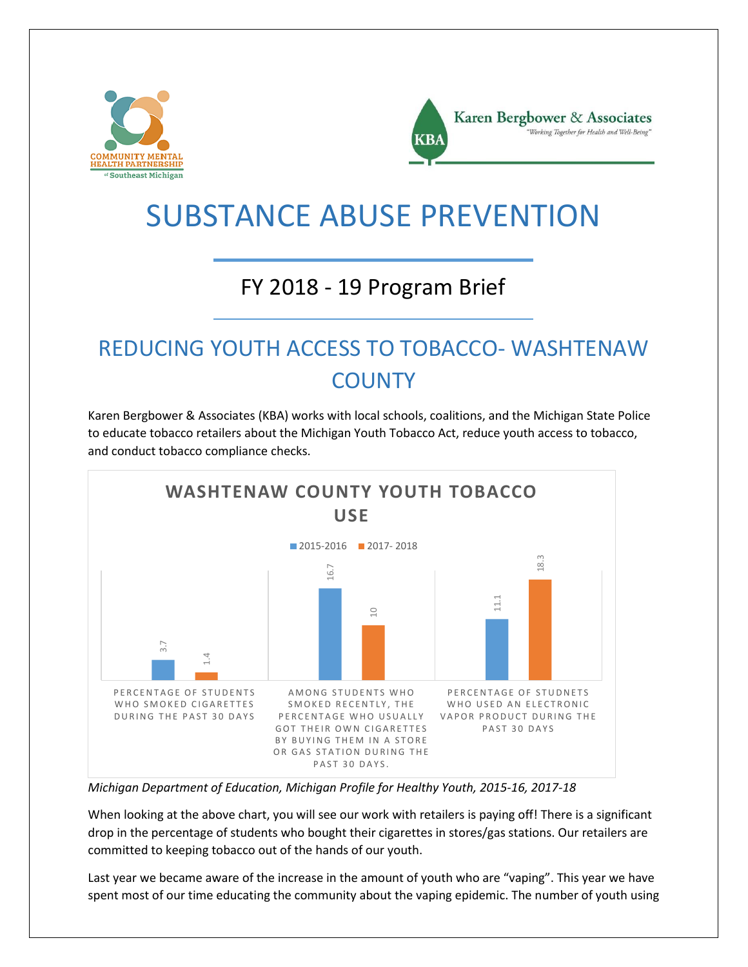



# SUBSTANCE ABUSE PREVENTION

#### FY 2018 - 19 Program Brief

### REDUCING YOUTH ACCESS TO TOBACCO- WASHTENAW **COUNTY**

Karen Bergbower & Associates (KBA) works with local schools, coalitions, and the Michigan State Police to educate tobacco retailers about the Michigan Youth Tobacco Act, reduce youth access to tobacco, and conduct tobacco compliance checks.



*Michigan Department of Education, Michigan Profile for Healthy Youth, 2015-16, 2017-18*

When looking at the above chart, you will see our work with retailers is paying off! There is a significant drop in the percentage of students who bought their cigarettes in stores/gas stations. Our retailers are committed to keeping tobacco out of the hands of our youth.

Last year we became aware of the increase in the amount of youth who are "vaping". This year we have